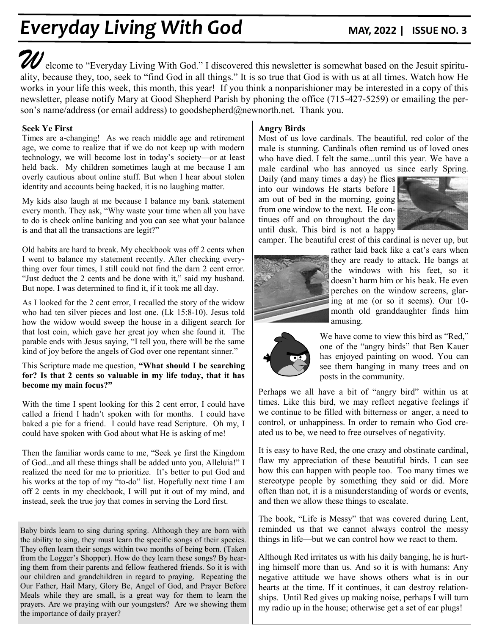# **Everyday Living With God MAY, 2022 | ISSUE NO. 3**

**W**elcome to "Everyday Living With God." I discovered this newsletter is somewhat based on the Jesuit spirituality, because they, too, seek to "find God in all things." It is so true that God is with us at all times. Watch how He works in your life this week, this month, this year! If you think a nonparishioner may be interested in a copy of this newsletter, please notify Mary at Good Shepherd Parish by phoning the office (715-427-5259) or emailing the person's name/address (or email address) to goodshepherd@newnorth.net. Thank you.

### **Seek Ye First**

Times are a-changing! As we reach middle age and retirement age, we come to realize that if we do not keep up with modern technology, we will become lost in today's society—or at least held back. My children sometimes laugh at me because I am overly cautious about online stuff. But when I hear about stolen identity and accounts being hacked, it is no laughing matter.

My kids also laugh at me because I balance my bank statement every month. They ask, "Why waste your time when all you have to do is check online banking and you can see what your balance is and that all the transactions are legit?"

Old habits are hard to break. My checkbook was off 2 cents when I went to balance my statement recently. After checking everything over four times, I still could not find the darn 2 cent error. "Just deduct the 2 cents and be done with it," said my husband. But nope. I was determined to find it, if it took me all day.

As I looked for the 2 cent error, I recalled the story of the widow who had ten silver pieces and lost one. (Lk 15:8-10). Jesus told how the widow would sweep the house in a diligent search for that lost coin, which gave her great joy when she found it. The parable ends with Jesus saying, "I tell you, there will be the same kind of joy before the angels of God over one repentant sinner."

#### This Scripture made me question, **"What should I be searching for? Is that 2 cents so valuable in my life today, that it has become my main focus?"**

With the time I spent looking for this 2 cent error, I could have called a friend I hadn't spoken with for months. I could have baked a pie for a friend. I could have read Scripture. Oh my, I could have spoken with God about what He is asking of me!

Then the familiar words came to me, "Seek ye first the Kingdom of God...and all these things shall be added unto you, Alleluia!" I realized the need for me to prioritize. It's better to put God and his works at the top of my "to-do" list. Hopefully next time I am off 2 cents in my checkbook, I will put it out of my mind, and instead, seek the true joy that comes in serving the Lord first.

Baby birds learn to sing during spring. Although they are born with the ability to sing, they must learn the specific songs of their species. They often learn their songs within two months of being born. (Taken from the Logger's Shopper). How do they learn these songs? By hearing them from their parents and fellow feathered friends. So it is with our children and grandchildren in regard to praying. Repeating the Our Father, Hail Mary, Glory Be, Angel of God, and Prayer Before Meals while they are small, is a great way for them to learn the prayers. Are we praying with our youngsters? Are we showing them the importance of daily prayer?

### **Angry Birds**

Most of us love cardinals. The beautiful, red color of the male is stunning. Cardinals often remind us of loved ones who have died. I felt the same...until this year. We have a male cardinal who has annoyed us since early Spring.

Daily (and many times a day) he flies into our windows He starts before I am out of bed in the morning, going from one window to the next. He continues off and on throughout the day until dusk. This bird is not a happy



camper. The beautiful crest of this cardinal is never up, but



rather laid back like a cat's ears when they are ready to attack. He bangs at the windows with his feet, so it doesn't harm him or his beak. He even perches on the window screens, glaring at me (or so it seems). Our 10month old granddaughter finds him amusing.



We have come to view this bird as "Red," one of the "angry birds" that Ben Kauer has enjoyed painting on wood. You can see them hanging in many trees and on posts in the community.

Perhaps we all have a bit of "angry bird" within us at times. Like this bird, we may reflect negative feelings if we continue to be filled with bitterness or anger, a need to control, or unhappiness. In order to remain who God created us to be, we need to free ourselves of negativity.

It is easy to have Red, the one crazy and obstinate cardinal, flaw my appreciation of these beautiful birds. I can see how this can happen with people too. Too many times we stereotype people by something they said or did. More often than not, it is a misunderstanding of words or events, and then we allow these things to escalate.

The book, "Life is Messy" that was covered during Lent, reminded us that we cannot always control the messy things in life—but we can control how we react to them.

Although Red irritates us with his daily banging, he is hurting himself more than us. And so it is with humans: Any negative attitude we have shows others what is in our hearts at the time. If it continues, it can destroy relationships. Until Red gives up making noise, perhaps I will turn my radio up in the house; otherwise get a set of ear plugs!